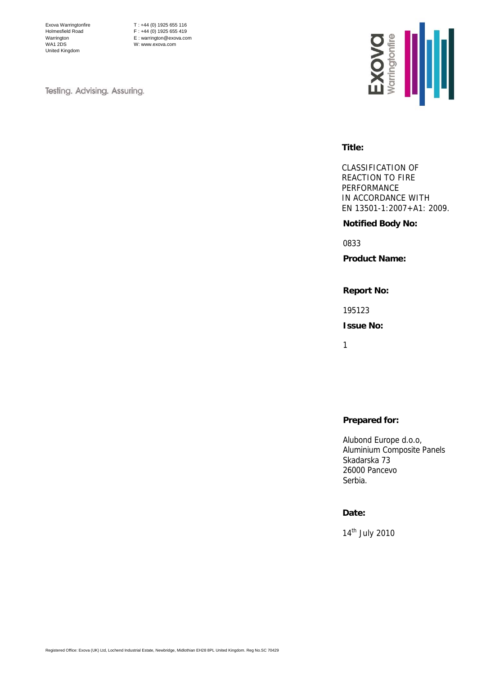Exova Warringtonfire Holmesfield Road Warrington WA1 2DS United Kingdom

T : +44 (0) 1925 655 116 F : +44 (0) 1925 655 419 E : warrington@exova.com W: www.exova.com

Testing. Advising. Assuring.



#### **Title:**

CLASSIFICATION OF REACTION TO FIRE PERFORMANCE IN ACCORDANCE WITH EN 13501-1:2007+A1: 2009.

# **Notified Body No:**

0833

**Product Name:** 

**Report No:** 

195123

**Issue No:** 

1

# **Prepared for:**

Alubond Europe d.o.o, Aluminium Composite Panels Skadarska 73 26000 Pancevo Serbia.

## **Date:**

14th July 2010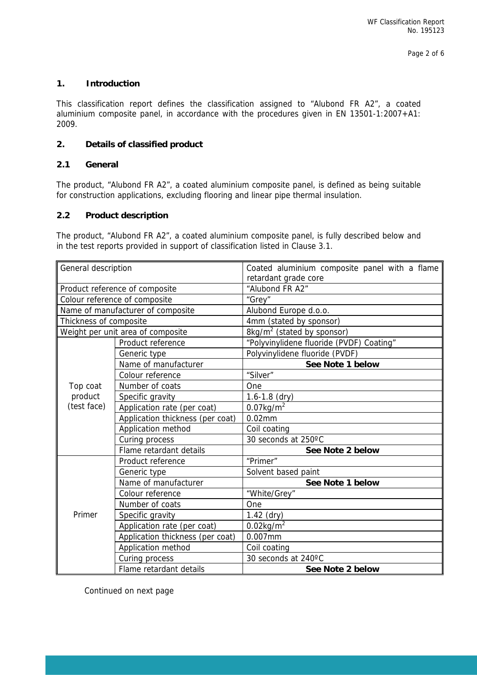## **1. Introduction**

This classification report defines the classification assigned to "Alubond FR A2", a coated aluminium composite panel, in accordance with the procedures given in EN 13501-1:2007+A1: 2009.

## **2. Details of classified product**

## **2.1 General**

The product, "Alubond FR A2", a coated aluminium composite panel, is defined as being suitable for construction applications, excluding flooring and linear pipe thermal insulation.

## **2.2 Product description**

The product, "Alubond FR A2", a coated aluminium composite panel, is fully described below and in the test reports provided in support of classification listed in Clause 3.1.

| General description                |                                  | Coated aluminium composite panel with a flame<br>retardant grade core |  |  |  |  |
|------------------------------------|----------------------------------|-----------------------------------------------------------------------|--|--|--|--|
| Product reference of composite     |                                  | "Alubond FR A2"                                                       |  |  |  |  |
| Colour reference of composite      |                                  | "Grey"                                                                |  |  |  |  |
| Name of manufacturer of composite  |                                  | Alubond Europe d.o.o.                                                 |  |  |  |  |
| Thickness of composite             |                                  | 4mm (stated by sponsor)                                               |  |  |  |  |
| Weight per unit area of composite  |                                  | 8kg/m <sup>2</sup> (stated by sponsor)                                |  |  |  |  |
| Product reference                  |                                  | "Polyvinylidene fluoride (PVDF) Coating"                              |  |  |  |  |
|                                    | Generic type                     | Polyvinylidene fluoride (PVDF)                                        |  |  |  |  |
|                                    | Name of manufacturer             | See Note 1 below                                                      |  |  |  |  |
|                                    | Colour reference                 | "Silver"                                                              |  |  |  |  |
| Top coat<br>product<br>(test face) | Number of coats                  | One                                                                   |  |  |  |  |
|                                    | Specific gravity                 | $1.6 - 1.8$ (dry)                                                     |  |  |  |  |
|                                    | Application rate (per coat)      | $0.07$ kg/m <sup>2</sup>                                              |  |  |  |  |
|                                    | Application thickness (per coat) | $0.02$ mm                                                             |  |  |  |  |
|                                    | Application method               | Coil coating                                                          |  |  |  |  |
|                                    | Curing process                   | 30 seconds at 250°C                                                   |  |  |  |  |
|                                    | Flame retardant details          | See Note 2 below                                                      |  |  |  |  |
|                                    | Product reference                | "Primer"                                                              |  |  |  |  |
|                                    | Generic type                     | Solvent based paint                                                   |  |  |  |  |
|                                    | Name of manufacturer             | See Note 1 below                                                      |  |  |  |  |
|                                    | Colour reference                 | "White/Grey"                                                          |  |  |  |  |
|                                    | Number of coats                  | One                                                                   |  |  |  |  |
| Primer                             | Specific gravity                 | $1.42$ (dry)                                                          |  |  |  |  |
|                                    | Application rate (per coat)      | $0.02$ kg/m <sup>2</sup>                                              |  |  |  |  |
|                                    | Application thickness (per coat) | $0.007$ mm                                                            |  |  |  |  |
|                                    | Application method               | Coil coating                                                          |  |  |  |  |
|                                    | Curing process                   | 30 seconds at 240°C                                                   |  |  |  |  |
|                                    | Flame retardant details          | See Note 2 below                                                      |  |  |  |  |

Continued on next page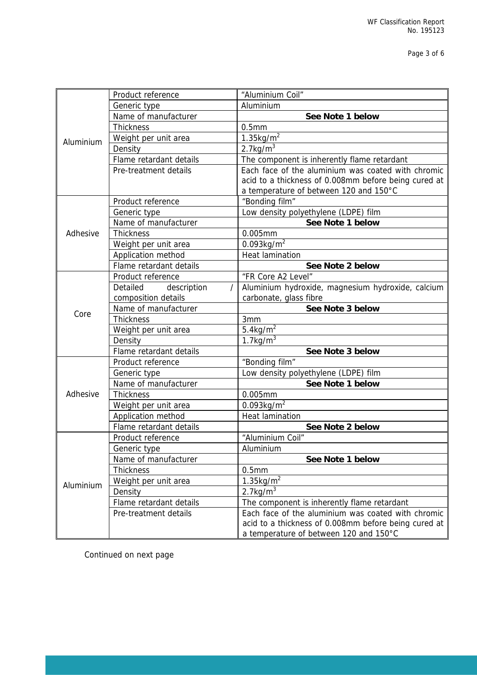| Aluminium | Product reference       | "Aluminium Coil"                                     |  |  |  |
|-----------|-------------------------|------------------------------------------------------|--|--|--|
|           | Generic type            | Aluminium                                            |  |  |  |
|           | Name of manufacturer    | See Note 1 below                                     |  |  |  |
|           | <b>Thickness</b>        | 0.5 <sub>mm</sub>                                    |  |  |  |
|           | Weight per unit area    | $1.35$ kg/m <sup>2</sup>                             |  |  |  |
|           | Density                 | $2.7$ kg/m <sup>3</sup>                              |  |  |  |
|           | Flame retardant details | The component is inherently flame retardant          |  |  |  |
|           | Pre-treatment details   | Each face of the aluminium was coated with chromic   |  |  |  |
|           |                         | acid to a thickness of 0.008mm before being cured at |  |  |  |
|           |                         | a temperature of between 120 and 150°C               |  |  |  |
|           | Product reference       | "Bonding film"                                       |  |  |  |
|           | Generic type            | Low density polyethylene (LDPE) film                 |  |  |  |
|           | Name of manufacturer    | See Note 1 below                                     |  |  |  |
| Adhesive  | <b>Thickness</b>        | 0.005mm                                              |  |  |  |
|           | Weight per unit area    | $0.093$ kg/m <sup>2</sup>                            |  |  |  |
|           | Application method      | <b>Heat lamination</b>                               |  |  |  |
|           | Flame retardant details | See Note 2 below                                     |  |  |  |
|           | Product reference       | "FR Core A2 Level"                                   |  |  |  |
|           | Detailed<br>description | Aluminium hydroxide, magnesium hydroxide, calcium    |  |  |  |
|           | composition details     | carbonate, glass fibre                               |  |  |  |
| Core      | Name of manufacturer    | See Note 3 below                                     |  |  |  |
|           | <b>Thickness</b>        | 3mm                                                  |  |  |  |
|           | Weight per unit area    | $5.4$ kg/m <sup>2</sup>                              |  |  |  |
|           | Density                 | $1.7$ kg/m <sup>3</sup>                              |  |  |  |
|           | Flame retardant details | See Note 3 below                                     |  |  |  |
|           | Product reference       | "Bonding film"                                       |  |  |  |
|           | Generic type            | Low density polyethylene (LDPE) film                 |  |  |  |
|           | Name of manufacturer    | See Note 1 below                                     |  |  |  |
| Adhesive  | <b>Thickness</b>        | 0.005mm                                              |  |  |  |
|           | Weight per unit area    | $0.093$ kg/m <sup>2</sup>                            |  |  |  |
|           | Application method      | <b>Heat lamination</b>                               |  |  |  |
|           | Flame retardant details | See Note 2 below                                     |  |  |  |
|           | Product reference       | "Aluminium Coil"                                     |  |  |  |
|           | Generic type            | Aluminium                                            |  |  |  |
|           | Name of manufacturer    | See Note 1 below                                     |  |  |  |
|           | <b>Thickness</b>        | 0.5 <sub>mm</sub>                                    |  |  |  |
| Aluminium | Weight per unit area    | $1.35$ kg/m <sup>2</sup>                             |  |  |  |
|           | Density                 | $2.7$ kg/m <sup>3</sup>                              |  |  |  |
|           | Flame retardant details | The component is inherently flame retardant          |  |  |  |
|           | Pre-treatment details   | Each face of the aluminium was coated with chromic   |  |  |  |
|           |                         | acid to a thickness of 0.008mm before being cured at |  |  |  |
|           |                         | a temperature of between 120 and 150°C               |  |  |  |

Continued on next page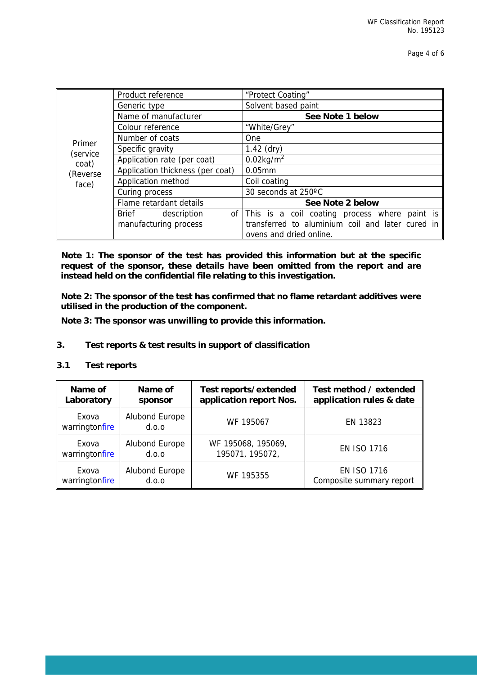Page 4 of 6

|                   | Product reference                | "Protect Coating"                                |  |  |  |
|-------------------|----------------------------------|--------------------------------------------------|--|--|--|
|                   | Generic type                     | Solvent based paint                              |  |  |  |
|                   | Name of manufacturer             | See Note 1 below                                 |  |  |  |
|                   | Colour reference                 | "White/Grey"                                     |  |  |  |
|                   | Number of coats                  | One                                              |  |  |  |
| Primer            | Specific gravity                 | $1.42$ (dry)                                     |  |  |  |
| (service<br>coat) | Application rate (per coat)      | $0.02$ kg/m <sup>2</sup>                         |  |  |  |
| (Reverse          | Application thickness (per coat) | $0.05$ mm                                        |  |  |  |
| face)             | Application method               | Coil coating                                     |  |  |  |
|                   | Curing process                   | 30 seconds at 250°C                              |  |  |  |
|                   | Flame retardant details          | See Note 2 below                                 |  |  |  |
|                   | Brief<br>description<br>of       | This is a coil coating process where paint is    |  |  |  |
|                   | manufacturing process            | transferred to aluminium coil and later cured in |  |  |  |
|                   |                                  | ovens and dried online.                          |  |  |  |

**Note 1: The sponsor of the test has provided this information but at the specific request of the sponsor, these details have been omitted from the report and are instead held on the confidential file relating to this investigation.** 

**Note 2: The sponsor of the test has confirmed that no flame retardant additives were utilised in the production of the component.** 

**Note 3: The sponsor was unwilling to provide this information.** 

## **3. Test reports & test results in support of classification**

#### **3.1 Test reports**

| Name of                 | Name of                 | Test reports/extended   | Test method / extended   |
|-------------------------|-------------------------|-------------------------|--------------------------|
| Laboratory              | sponsor                 | application report Nos. | application rules & date |
| Exova<br>warringtonfire | Alubond Europe<br>d.o.o | WF 195067               | EN 13823                 |
| Exova                   | Alubond Europe          | WF 195068, 195069,      | <b>EN ISO 1716</b>       |
| warringtonfire          | d.o.o                   | 195071, 195072,         |                          |
| Exova                   | Alubond Europe          | WF 195355               | <b>EN ISO 1716</b>       |
| warringtonfire          | d.o.o                   |                         | Composite summary report |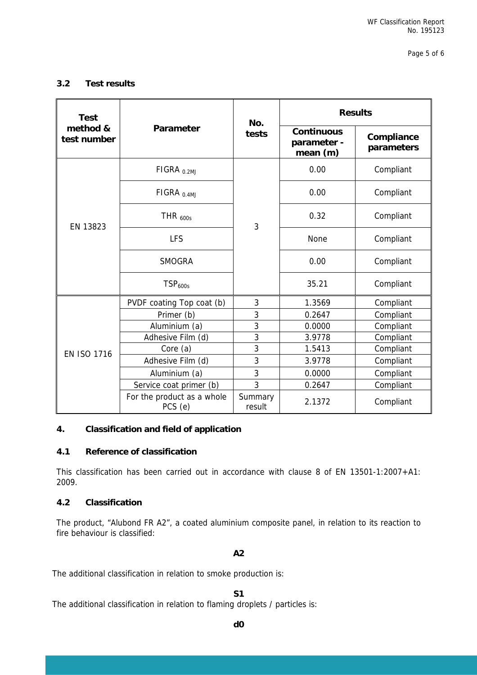Page 5 of 6

## **3.2 Test results**

| <b>Test</b>             |                                       | No.               | <b>Results</b>                               |                          |  |
|-------------------------|---------------------------------------|-------------------|----------------------------------------------|--------------------------|--|
| method &<br>test number | Parameter                             | tests             | <b>Continuous</b><br>parameter -<br>mean (m) | Compliance<br>parameters |  |
| EN 13823                | FIGRA <sub>0.2MJ</sub>                |                   | 0.00                                         | Compliant                |  |
|                         | FIGRA $_{0.4MJ}$                      |                   | 0.00                                         | Compliant                |  |
|                         | THR $_{600s}$                         | 3                 | 0.32                                         | Compliant                |  |
|                         | <b>LFS</b>                            |                   | None                                         | Compliant                |  |
|                         | <b>SMOGRA</b>                         |                   | 0.00                                         | Compliant                |  |
|                         | TSP <sub>600s</sub>                   |                   | 35.21                                        | Compliant                |  |
|                         | PVDF coating Top coat (b)             | 3                 | 1.3569                                       | Compliant                |  |
| <b>EN ISO 1716</b>      | Primer (b)                            | 3                 | 0.2647                                       | Compliant                |  |
|                         | Aluminium (a)                         | 3                 | 0.0000                                       | Compliant                |  |
|                         | Adhesive Film (d)                     | 3                 | 3.9778                                       | Compliant                |  |
|                         | Core (a)                              | 3                 | 1.5413                                       | Compliant                |  |
|                         | Adhesive Film (d)                     | 3                 | 3.9778                                       | Compliant                |  |
|                         | Aluminium (a)                         | 3                 | 0.0000                                       | Compliant                |  |
|                         | Service coat primer (b)               | 3                 | 0.2647                                       | Compliant                |  |
|                         | For the product as a whole<br>PCS (e) | Summary<br>result | 2.1372                                       | Compliant                |  |

## **4. Classification and field of application**

#### **4.1 Reference of classification**

This classification has been carried out in accordance with clause 8 of EN 13501-1:2007+A1: 2009.

#### **4.2 Classification**

The product, "Alubond FR A2", a coated aluminium composite panel, in relation to its reaction to fire behaviour is classified:

**A2** 

The additional classification in relation to smoke production is:

**S1** 

The additional classification in relation to flaming droplets / particles is: